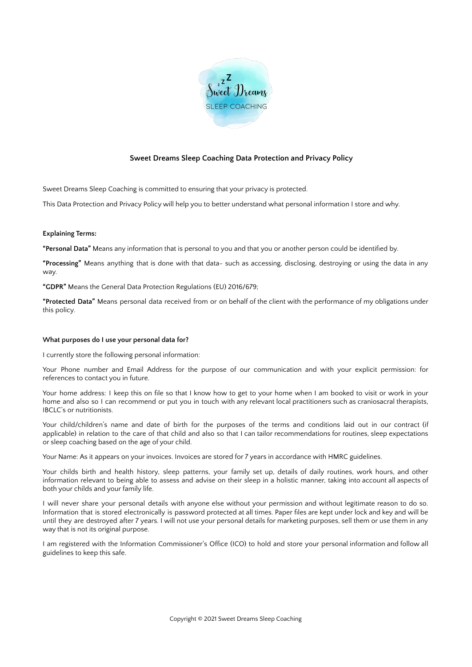

# **Sweet Dreams Sleep Coaching Data Protection and Privacy Policy**

Sweet Dreams Sleep Coaching is committed to ensuring that your privacy is protected.

This Data Protection and Privacy Policy will help you to better understand what personal information I store and why.

# **Explaining Terms:**

**"Personal Data"** Means any information that is personal to you and that you or another person could be identified by.

**"Processing"** Means anything that is done with that data- such as accessing, disclosing, destroying or using the data in any way.

**"GDPR"** Means the General Data Protection Regulations (EU) 2016/679;

**"Protected Data"** Means personal data received from or on behalf of the client with the performance of my obligations under this policy.

# **What purposes do I use your personal data for?**

I currently store the following personal information:

Your Phone number and Email Address for the purpose of our communication and with your explicit permission: for references to contact you in future.

Your home address: I keep this on file so that I know how to get to your home when I am booked to visit or work in your home and also so I can recommend or put you in touch with any relevant local practitioners such as craniosacral therapists, IBCLC's or nutritionists.

Your child/children's name and date of birth for the purposes of the terms and conditions laid out in our contract (if applicable) in relation to the care of that child and also so that I can tailor recommendations for routines, sleep expectations or sleep coaching based on the age of your child.

Your Name: As it appears on your invoices. Invoices are stored for 7 years in accordance with HMRC guidelines.

Your childs birth and health history, sleep patterns, your family set up, details of daily routines, work hours, and other information relevant to being able to assess and advise on their sleep in a holistic manner, taking into account all aspects of both your childs and your family life.

I will never share your personal details with anyone else without your permission and without legitimate reason to do so. Information that is stored electronically is password protected at all times. Paper files are kept under lock and key and will be until they are destroyed after 7 years. I will not use your personal details for marketing purposes, sell them or use them in any way that is not its original purpose.

I am registered with the Information Commissioner's Office (ICO) to hold and store your personal information and follow all guidelines to keep this safe.